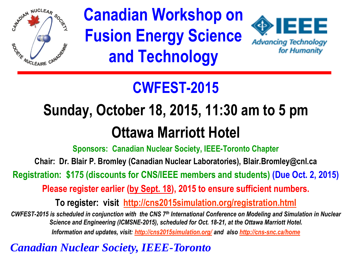

## **Canadian Workshop on Fusion Energy Science and Technology**



### **CWFEST-2015**

## **Sunday, October 18, 2015, 11:30 am to 5 pm Ottawa Marriott Hotel**

**Sponsors: Canadian Nuclear Society, IEEE-Toronto Chapter**

**Chair: Dr. Blair P. Bromley (Canadian Nuclear Laboratories), Blair.Bromley@cnl.ca**

**Registration: \$175 (discounts for CNS/IEEE members and students) (Due Oct. 2, 2015)**

**Please register earlier (by Sept. 18), 2015 to ensure sufficient numbers.**

**To register: visit <http://cns2015simulation.org/registration.html>**

*CWFEST-2015 is scheduled in conjunction with the CNS 7th International Conference on Modeling and Simulation in Nuclear Science and Engineering (ICMSNE-2015), scheduled for Oct. 18-21, at the Ottawa Marriott Hotel. Information and updates, visit: <http://cns2015simulation.org/> and also <http://cns-snc.ca/home>*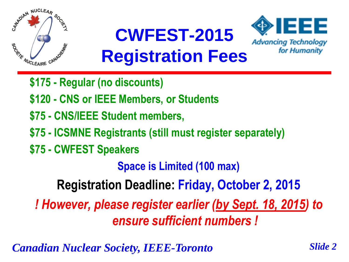



- **\$175 - Regular (no discounts)**
- **\$120 - CNS or IEEE Members, or Students**
- **\$75 - CNS/IEEE Student members,**
- **\$75 - ICSMNE Registrants (still must register separately)**
- **\$75 - CWFEST Speakers**

**Space is Limited (100 max)**

**Registration Deadline: Friday, October 2, 2015**

*! However, please register earlier (by Sept. 18, 2015) to ensure sufficient numbers !*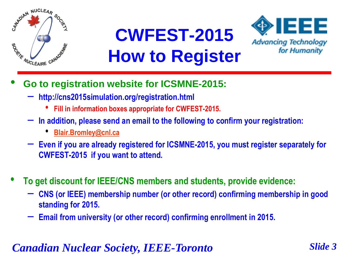

## **CWFEST-2015 How to Register**



- **Go to registration website for ICSMNE-2015:**
	- **http://cns2015simulation.org/registration.html**
		- **Fill in information boxes appropriate for CWFEST-2015.**
	- **In addition, please send an email to the following to confirm your registration:**
		- **[Blair.Bromley@cnl.ca](mailto:Hossam.Gaber@uoit.ca)**
	- **Even if you are already registered for ICSMNE-2015, you must register separately for CWFEST-2015 if you want to attend.**
- **To get discount for IEEE/CNS members and students, provide evidence:**
	- **CNS (or IEEE) membership number (or other record) confirming membership in good standing for 2015.**
	- **Email from university (or other record) confirming enrollment in 2015.**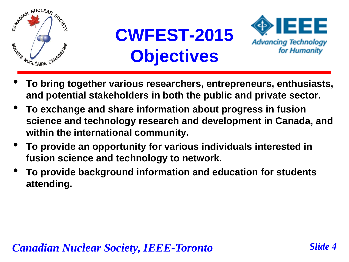





- **To bring together various researchers, entrepreneurs, enthusiasts, and potential stakeholders in both the public and private sector.**
- **To exchange and share information about progress in fusion science and technology research and development in Canada, and within the international community.**
- **To provide an opportunity for various individuals interested in fusion science and technology to network.**
- **To provide background information and education for students attending.**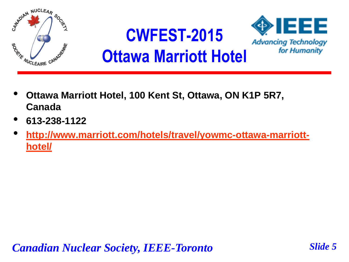

- **Ottawa Marriott Hotel, 100 Kent St, Ottawa, ON K1P 5R7, Canada**
- **613-238-1122**
- **[http://www.marriott.com/hotels/travel/yowmc-ottawa-marriott](http://www.marriott.com/hotels/travel/yowmc-ottawa-marriott-hotel/)[hotel/](http://www.marriott.com/hotels/travel/yowmc-ottawa-marriott-hotel/)**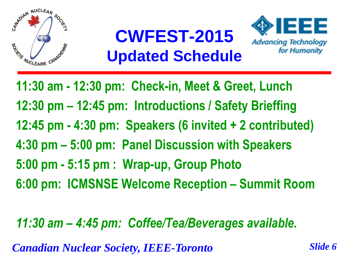





**11:30 am - 12:30 pm: Check-in, Meet & Greet, Lunch 12:30 pm – 12:45 pm: Introductions / Safety Brieffing 12:45 pm - 4:30 pm: Speakers (6 invited + 2 contributed) 4:30 pm – 5:00 pm: Panel Discussion with Speakers 5:00 pm - 5:15 pm : Wrap-up, Group Photo 6:00 pm: ICMSNSE Welcome Reception – Summit Room**

### *11:30 am – 4:45 pm: Coffee/Tea/Beverages available.*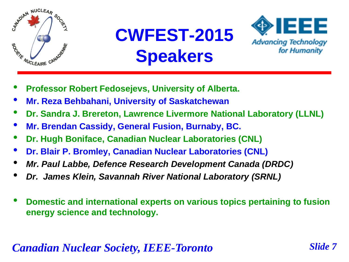

## **CWFEST-2015 Speakers**



- **Professor Robert Fedosejevs, University of Alberta.**
- **Mr. Reza Behbahani, University of Saskatchewan**
- **Dr. Sandra J. Brereton, Lawrence Livermore National Laboratory (LLNL)**
- **Mr. Brendan Cassidy, General Fusion, Burnaby, BC.**
- **Dr. Hugh Boniface, Canadian Nuclear Laboratories (CNL)**
- **Dr. Blair P. Bromley, Canadian Nuclear Laboratories (CNL)**
- *Mr. Paul Labbe, Defence Research Development Canada (DRDC)*
- *Dr. James Klein, Savannah River National Laboratory (SRNL)*
- **Domestic and international experts on various topics pertaining to fusion energy science and technology.**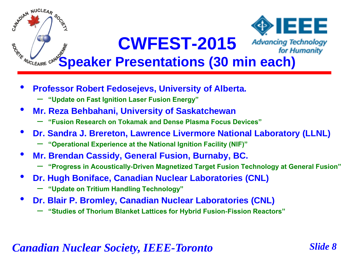

- **Professor Robert Fedosejevs, University of Alberta.**
	- **"Update on Fast Ignition Laser Fusion Energy"**
- **Mr. Reza Behbahani, University of Saskatchewan**
	- **"Fusion Research on Tokamak and Dense Plasma Focus Devices"**
- **Dr. Sandra J. Brereton, Lawrence Livermore National Laboratory (LLNL)**
	- **"Operational Experience at the National Ignition Facility (NIF)"**
- **Mr. Brendan Cassidy, General Fusion, Burnaby, BC.**
	- **"Progress in Acoustically-Driven Magnetized Target Fusion Technology at General Fusion"**
- **Dr. Hugh Boniface, Canadian Nuclear Laboratories (CNL)**
	- **"Update on Tritium Handling Technology"**
- **Dr. Blair P. Bromley, Canadian Nuclear Laboratories (CNL)**
	- **"Studies of Thorium Blanket Lattices for Hybrid Fusion-Fission Reactors"**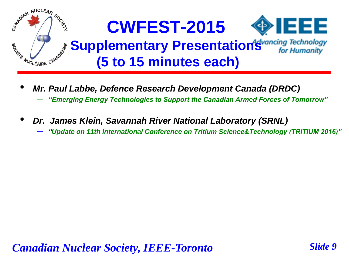

- *Mr. Paul Labbe, Defence Research Development Canada (DRDC)*
	- *"Emerging Energy Technologies to Support the Canadian Armed Forces of Tomorrow"*
- *Dr. James Klein, Savannah River National Laboratory (SRNL)*

– *"Update on 11th International Conference on Tritium Science&Technology (TRITIUM 2016)"*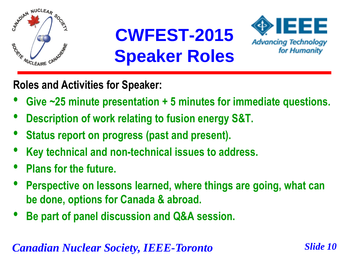





**Roles and Activities for Speaker:**

- **Give ~25 minute presentation + 5 minutes for immediate questions.**
- **Description of work relating to fusion energy S&T.**
- **Status report on progress (past and present).**
- **Key technical and non-technical issues to address.**
- **Plans for the future.**
- **Perspective on lessons learned, where things are going, what can be done, options for Canada & abroad.**
- **Be part of panel discussion and Q&A session.**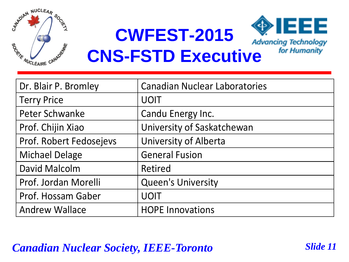

**CWFEST-2015** 



### **CNS-FSTD Executive**

| Dr. Blair P. Bromley    | <b>Canadian Nuclear Laboratories</b> |
|-------------------------|--------------------------------------|
| <b>Terry Price</b>      | <b>UOIT</b>                          |
| <b>Peter Schwanke</b>   | Candu Energy Inc.                    |
| Prof. Chijin Xiao       | University of Saskatchewan           |
| Prof. Robert Fedosejevs | <b>University of Alberta</b>         |
| <b>Michael Delage</b>   | <b>General Fusion</b>                |
| <b>David Malcolm</b>    | Retired                              |
| Prof. Jordan Morelli    | <b>Queen's University</b>            |
| Prof. Hossam Gaber      | <b>UOIT</b>                          |
| <b>Andrew Wallace</b>   | <b>HOPE Innovations</b>              |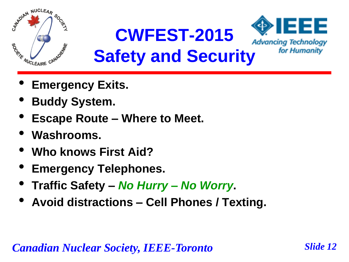

- **Emergency Exits.**
- **Buddy System.**
- **Escape Route – Where to Meet.**
- **Washrooms.**
- **Who knows First Aid?**
- **Emergency Telephones.**
- **Traffic Safety –** *No Hurry – No Worry***.**
- **Avoid distractions – Cell Phones / Texting.**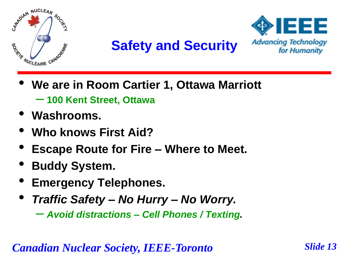



- **We are in Room Cartier 1, Ottawa Marriott** – **100 Kent Street, Ottawa**
- **Washrooms.**
- **Who knows First Aid?**
- **Escape Route for Fire – Where to Meet.**
- **Buddy System.**
- **Emergency Telephones.**
- *Traffic Safety – No Hurry – No Worry.* – *Avoid distractions – Cell Phones / Texting.*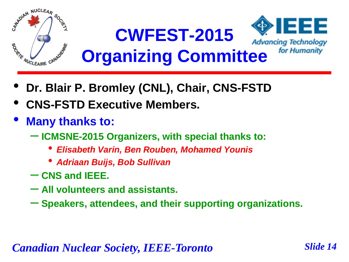

- **Dr. Blair P. Bromley (CNL), Chair, CNS-FSTD**
- **CNS-FSTD Executive Members.**
- **Many thanks to:**
	- **ICMSNE-2015 Organizers, with special thanks to:**
		- *Elisabeth Varin, Ben Rouben, Mohamed Younis*
		- *Adriaan Buijs, Bob Sullivan*
	- **CNS and IEEE.**
	- **All volunteers and assistants.**
	- **Speakers, attendees, and their supporting organizations.**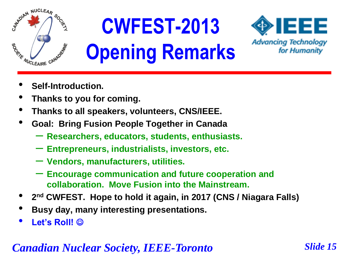

# **CWFEST-2013 Opening Remarks**



- **Self-Introduction.**
- **Thanks to you for coming.**
- **Thanks to all speakers, volunteers, CNS/IEEE.**
- **Goal: Bring Fusion People Together in Canada**
	- **Researchers, educators, students, enthusiasts.**
	- **Entrepreneurs, industrialists, investors, etc.**
	- **Vendors, manufacturers, utilities.**
	- **Encourage communication and future cooperation and collaboration. Move Fusion into the Mainstream.**
- **<sup>2</sup> nd CWFEST. Hope to hold it again, in 2017 (CNS / Niagara Falls)**
- **Busy day, many interesting presentations.**
- **Let's Roll!**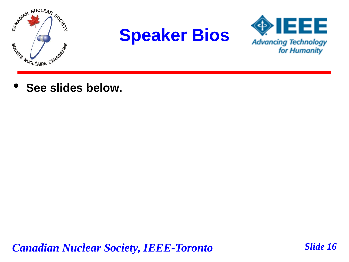





• **See slides below.**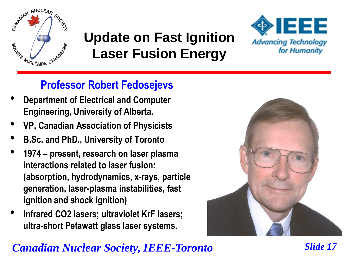

### **Update on Fast Ignition Laser Fusion Energy**



### **Professor Robert Fedosejevs**

- **Department of Electrical and Computer Engineering, University of Alberta.**
- **VP, Canadian Association of Physicists**
- **B.Sc. and PhD., University of Toronto**
- **<sup>1974</sup>– present, research on laser plasma interactions related to laser fusion: (absorption, hydrodynamics, x-rays, particle generation, laser-plasma instabilities, fast ignition and shock ignition)**
- **Infrared CO2 lasers; ultraviolet KrF lasers; ultra-short Petawatt glass laser systems.**

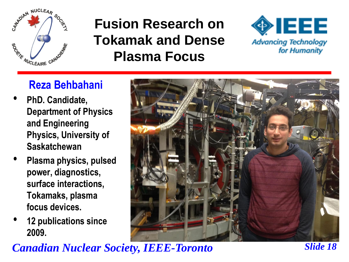

### **Fusion Research on Tokamak and Dense Plasma Focus**



#### **Reza Behbahani**

- **PhD. Candidate, Department of Physics and Engineering Physics, University of Saskatchewan**
- **Plasma physics, pulsed power, diagnostics, surface interactions, Tokamaks, plasma focus devices.**
- **12 publications since 2009.**

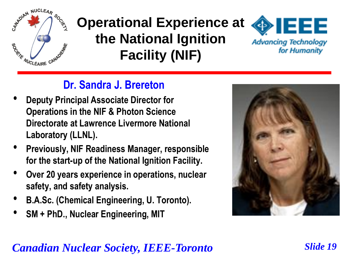

### **Operational Experience at the National Ignition Facility (NIF)**



### **Dr. Sandra J. Brereton**

- **Deputy Principal Associate Director for Operations in the NIF & Photon Science Directorate at Lawrence Livermore National Laboratory (LLNL).**
- **Previously, NIF Readiness Manager, responsible for the start-up of the National Ignition Facility.**
- **Over 20 years experience in operations, nuclear safety, and safety analysis.**
- **B.A.Sc. (Chemical Engineering, U. Toronto).**
- **SM + PhD., Nuclear Engineering, MIT**

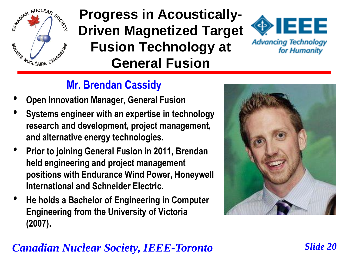

### **Progress in Acoustically-Driven Magnetized Target Fusion Technology at General Fusion**



#### **Mr. Brendan Cassidy**

- **Open Innovation Manager, General Fusion**
- **Systems engineer with an expertise in technology research and development, project management, and alternative energy technologies.**
- **Prior to joining General Fusion in 2011, Brendan held engineering and project management positions with Endurance Wind Power, Honeywell International and Schneider Electric.**
- **He holds a Bachelor of Engineering in Computer Engineering from the University of Victoria (2007).**

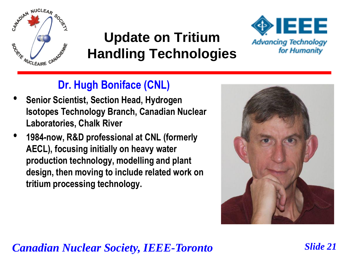

### **Update on Tritium Handling Technologies**



#### **Dr. Hugh Boniface (CNL)**

- **Senior Scientist, Section Head, Hydrogen Isotopes Technology Branch, Canadian Nuclear Laboratories, Chalk River**
- **1984-now, R&D professional at CNL (formerly AECL), focusing initially on heavy water production technology, modelling and plant design, then moving to include related work on tritium processing technology.**

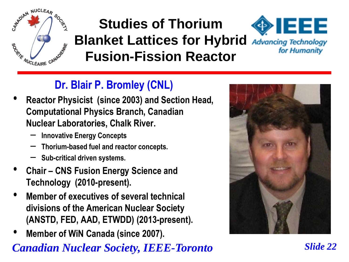

#### **IEEE Studies of Thorium Blanket Lattices for Hybrid Advancing Technology**<br>Fusion-Fission Reactor for Humanity for Humanity **Fusion-Fission Reactor**

### **Dr. Blair P. Bromley (CNL)**

- **Reactor Physicist (since 2003) and Section Head, Computational Physics Branch, Canadian Nuclear Laboratories, Chalk River.**
	- **Innovative Energy Concepts**
	- **Thorium-based fuel and reactor concepts.**
	- **Sub-critical driven systems.**
- **Chair – CNS Fusion Energy Science and Technology (2010-present).**
- **Member of executives of several technical divisions of the American Nuclear Society (ANSTD, FED, AAD, ETWDD) (2013-present).**
- **Member of WiN Canada (since 2007).**



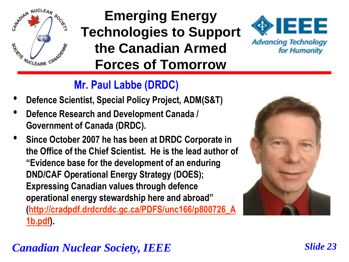

### **Emerging Energy Technologies to Support the Canadian Armed Forces of Tomorrow**



#### **Mr. Paul Labbe (DRDC)**

- **Defence Scientist, Special Policy Project, ADM(S&T)**
- **Defence Research and Development Canada / Government of Canada (DRDC).**
- **Since October 2007 he has been at DRDC Corporate in the Office of the Chief Scientist. He is the lead author of "Evidence base for the development of an enduring DND/CAF Operational Energy Strategy (DOES); Expressing Canadian values through defence operational energy stewardship here and abroad" [\(http://cradpdf.drdcrddc.gc.ca/PDFS/unc166/p800726\\_A](http://cradpdf.drdcrddc.gc.ca/PDFS/unc166/p800726_A1b.pdf) [1b.pdf](http://cradpdf.drdcrddc.gc.ca/PDFS/unc166/p800726_A1b.pdf)).**



### *Canadian Nuclear Society, IEEE Slide 23*